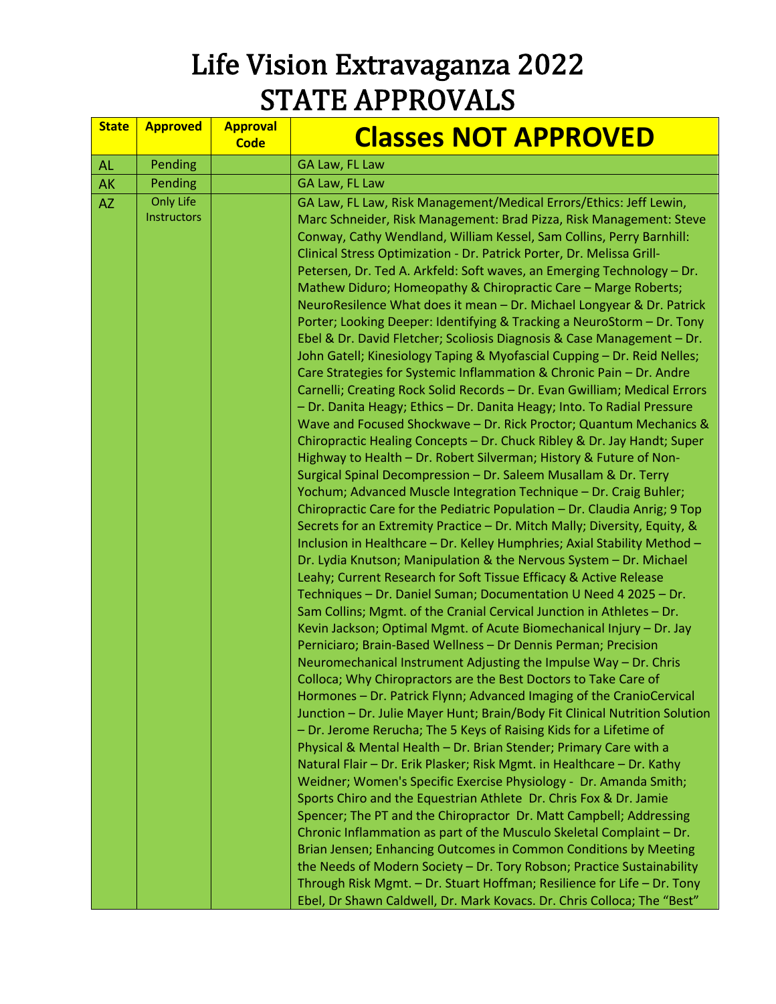| <b>State</b> | <b>Approved</b>                 | <b>Approval</b><br><b>Code</b> | <b>Classes NOT APPROVED</b>                                                                                                                                                                                                                                                                                                                                                                                                                                                                                                                                                                                                                                                                                                                                                                                                                                                                                                                                                                                                                                                                                                                                                                                                                                                                                                                                                                                                                                                                                                                                                                                                                                                                                                                                                                                                                                                                                                                                                                                                                                                                                                                                                                                                                                                                                                                                                                                                                                                                                                                                                                                                                                                                                                                                                                                                                                                                          |
|--------------|---------------------------------|--------------------------------|------------------------------------------------------------------------------------------------------------------------------------------------------------------------------------------------------------------------------------------------------------------------------------------------------------------------------------------------------------------------------------------------------------------------------------------------------------------------------------------------------------------------------------------------------------------------------------------------------------------------------------------------------------------------------------------------------------------------------------------------------------------------------------------------------------------------------------------------------------------------------------------------------------------------------------------------------------------------------------------------------------------------------------------------------------------------------------------------------------------------------------------------------------------------------------------------------------------------------------------------------------------------------------------------------------------------------------------------------------------------------------------------------------------------------------------------------------------------------------------------------------------------------------------------------------------------------------------------------------------------------------------------------------------------------------------------------------------------------------------------------------------------------------------------------------------------------------------------------------------------------------------------------------------------------------------------------------------------------------------------------------------------------------------------------------------------------------------------------------------------------------------------------------------------------------------------------------------------------------------------------------------------------------------------------------------------------------------------------------------------------------------------------------------------------------------------------------------------------------------------------------------------------------------------------------------------------------------------------------------------------------------------------------------------------------------------------------------------------------------------------------------------------------------------------------------------------------------------------------------------------------------------------|
| <b>AL</b>    | Pending                         |                                | GA Law, FL Law                                                                                                                                                                                                                                                                                                                                                                                                                                                                                                                                                                                                                                                                                                                                                                                                                                                                                                                                                                                                                                                                                                                                                                                                                                                                                                                                                                                                                                                                                                                                                                                                                                                                                                                                                                                                                                                                                                                                                                                                                                                                                                                                                                                                                                                                                                                                                                                                                                                                                                                                                                                                                                                                                                                                                                                                                                                                                       |
| <b>AK</b>    | Pending                         |                                | GA Law, FL Law                                                                                                                                                                                                                                                                                                                                                                                                                                                                                                                                                                                                                                                                                                                                                                                                                                                                                                                                                                                                                                                                                                                                                                                                                                                                                                                                                                                                                                                                                                                                                                                                                                                                                                                                                                                                                                                                                                                                                                                                                                                                                                                                                                                                                                                                                                                                                                                                                                                                                                                                                                                                                                                                                                                                                                                                                                                                                       |
| <b>AZ</b>    | <b>Only Life</b><br>Instructors |                                | GA Law, FL Law, Risk Management/Medical Errors/Ethics: Jeff Lewin,<br>Marc Schneider, Risk Management: Brad Pizza, Risk Management: Steve<br>Conway, Cathy Wendland, William Kessel, Sam Collins, Perry Barnhill:<br>Clinical Stress Optimization - Dr. Patrick Porter, Dr. Melissa Grill-<br>Petersen, Dr. Ted A. Arkfeld: Soft waves, an Emerging Technology - Dr.<br>Mathew Diduro; Homeopathy & Chiropractic Care - Marge Roberts;<br>NeuroResilence What does it mean - Dr. Michael Longyear & Dr. Patrick<br>Porter; Looking Deeper: Identifying & Tracking a NeuroStorm - Dr. Tony<br>Ebel & Dr. David Fletcher; Scoliosis Diagnosis & Case Management - Dr.<br>John Gatell; Kinesiology Taping & Myofascial Cupping - Dr. Reid Nelles;<br>Care Strategies for Systemic Inflammation & Chronic Pain - Dr. Andre<br>Carnelli; Creating Rock Solid Records - Dr. Evan Gwilliam; Medical Errors<br>- Dr. Danita Heagy; Ethics - Dr. Danita Heagy; Into. To Radial Pressure<br>Wave and Focused Shockwave - Dr. Rick Proctor; Quantum Mechanics &<br>Chiropractic Healing Concepts - Dr. Chuck Ribley & Dr. Jay Handt; Super<br>Highway to Health - Dr. Robert Silverman; History & Future of Non-<br>Surgical Spinal Decompression - Dr. Saleem Musallam & Dr. Terry<br>Yochum; Advanced Muscle Integration Technique - Dr. Craig Buhler;<br>Chiropractic Care for the Pediatric Population - Dr. Claudia Anrig; 9 Top<br>Secrets for an Extremity Practice - Dr. Mitch Mally; Diversity, Equity, &<br>Inclusion in Healthcare - Dr. Kelley Humphries; Axial Stability Method -<br>Dr. Lydia Knutson; Manipulation & the Nervous System - Dr. Michael<br>Leahy; Current Research for Soft Tissue Efficacy & Active Release<br>Techniques - Dr. Daniel Suman; Documentation U Need 4 2025 - Dr.<br>Sam Collins; Mgmt. of the Cranial Cervical Junction in Athletes - Dr.<br>Kevin Jackson; Optimal Mgmt. of Acute Biomechanical Injury - Dr. Jay<br>Perniciaro; Brain-Based Wellness - Dr Dennis Perman; Precision<br>Neuromechanical Instrument Adjusting the Impulse Way - Dr. Chris<br>Colloca; Why Chiropractors are the Best Doctors to Take Care of<br>Hormones - Dr. Patrick Flynn; Advanced Imaging of the CranioCervical<br>Junction - Dr. Julie Mayer Hunt; Brain/Body Fit Clinical Nutrition Solution<br>- Dr. Jerome Rerucha; The 5 Keys of Raising Kids for a Lifetime of<br>Physical & Mental Health - Dr. Brian Stender; Primary Care with a<br>Natural Flair - Dr. Erik Plasker; Risk Mgmt. in Healthcare - Dr. Kathy<br>Weidner; Women's Specific Exercise Physiology - Dr. Amanda Smith;<br>Sports Chiro and the Equestrian Athlete Dr. Chris Fox & Dr. Jamie<br>Spencer; The PT and the Chiropractor Dr. Matt Campbell; Addressing<br>Chronic Inflammation as part of the Musculo Skeletal Complaint - Dr.<br>Brian Jensen; Enhancing Outcomes in Common Conditions by Meeting |
|              |                                 |                                | the Needs of Modern Society - Dr. Tory Robson; Practice Sustainability<br>Through Risk Mgmt. - Dr. Stuart Hoffman; Resilience for Life - Dr. Tony<br>Ebel, Dr Shawn Caldwell, Dr. Mark Kovacs. Dr. Chris Colloca; The "Best"                                                                                                                                                                                                                                                                                                                                                                                                                                                                                                                                                                                                                                                                                                                                                                                                                                                                                                                                                                                                                                                                                                                                                                                                                                                                                                                                                                                                                                                                                                                                                                                                                                                                                                                                                                                                                                                                                                                                                                                                                                                                                                                                                                                                                                                                                                                                                                                                                                                                                                                                                                                                                                                                         |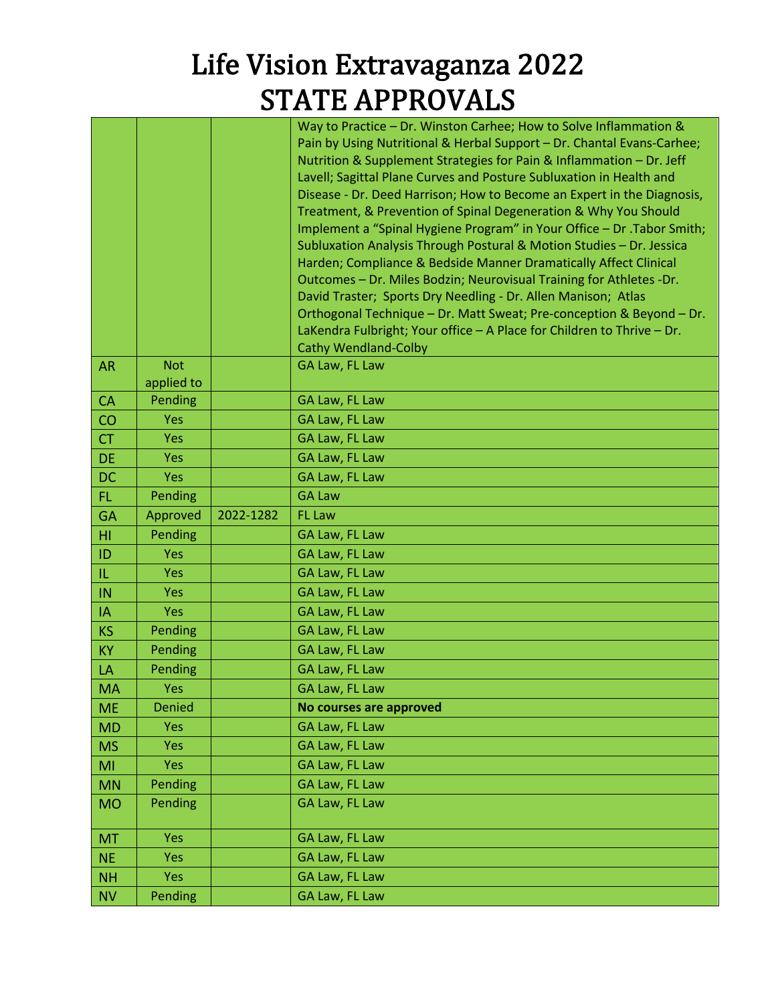|           |                          |           | Way to Practice - Dr. Winston Carhee; How to Solve Inflammation &<br>Pain by Using Nutritional & Herbal Support - Dr. Chantal Evans-Carhee;<br>Nutrition & Supplement Strategies for Pain & Inflammation - Dr. Jeff<br>Lavell; Sagittal Plane Curves and Posture Subluxation in Health and<br>Disease - Dr. Deed Harrison; How to Become an Expert in the Diagnosis,<br>Treatment, & Prevention of Spinal Degeneration & Why You Should<br>Implement a "Spinal Hygiene Program" in Your Office - Dr .Tabor Smith;<br>Subluxation Analysis Through Postural & Motion Studies - Dr. Jessica |
|-----------|--------------------------|-----------|-------------------------------------------------------------------------------------------------------------------------------------------------------------------------------------------------------------------------------------------------------------------------------------------------------------------------------------------------------------------------------------------------------------------------------------------------------------------------------------------------------------------------------------------------------------------------------------------|
|           |                          |           | Harden; Compliance & Bedside Manner Dramatically Affect Clinical<br>Outcomes - Dr. Miles Bodzin; Neurovisual Training for Athletes - Dr.                                                                                                                                                                                                                                                                                                                                                                                                                                                  |
|           |                          |           | David Traster; Sports Dry Needling - Dr. Allen Manison; Atlas                                                                                                                                                                                                                                                                                                                                                                                                                                                                                                                             |
|           |                          |           | Orthogonal Technique - Dr. Matt Sweat; Pre-conception & Beyond - Dr.                                                                                                                                                                                                                                                                                                                                                                                                                                                                                                                      |
|           |                          |           | LaKendra Fulbright; Your office - A Place for Children to Thrive - Dr.                                                                                                                                                                                                                                                                                                                                                                                                                                                                                                                    |
|           |                          |           | <b>Cathy Wendland-Colby</b>                                                                                                                                                                                                                                                                                                                                                                                                                                                                                                                                                               |
| <b>AR</b> | <b>Not</b><br>applied to |           | GA Law, FL Law                                                                                                                                                                                                                                                                                                                                                                                                                                                                                                                                                                            |
| <b>CA</b> | Pending                  |           | GA Law, FL Law                                                                                                                                                                                                                                                                                                                                                                                                                                                                                                                                                                            |
| CO        | <b>Yes</b>               |           | GA Law, FL Law                                                                                                                                                                                                                                                                                                                                                                                                                                                                                                                                                                            |
| <b>CT</b> | <b>Yes</b>               |           | GA Law, FL Law                                                                                                                                                                                                                                                                                                                                                                                                                                                                                                                                                                            |
| <b>DE</b> | <b>Yes</b>               |           | GA Law, FL Law                                                                                                                                                                                                                                                                                                                                                                                                                                                                                                                                                                            |
| <b>DC</b> | <b>Yes</b>               |           | GA Law, FL Law                                                                                                                                                                                                                                                                                                                                                                                                                                                                                                                                                                            |
| FL.       | Pending                  |           | <b>GA Law</b>                                                                                                                                                                                                                                                                                                                                                                                                                                                                                                                                                                             |
| <b>GA</b> | Approved                 | 2022-1282 | <b>FL Law</b>                                                                                                                                                                                                                                                                                                                                                                                                                                                                                                                                                                             |
| HI        | Pending                  |           | GA Law, FL Law                                                                                                                                                                                                                                                                                                                                                                                                                                                                                                                                                                            |
| ID        | <b>Yes</b>               |           | GA Law, FL Law                                                                                                                                                                                                                                                                                                                                                                                                                                                                                                                                                                            |
| IL.       | <b>Yes</b>               |           | GA Law, FL Law                                                                                                                                                                                                                                                                                                                                                                                                                                                                                                                                                                            |
|           |                          |           | GA Law, FL Law                                                                                                                                                                                                                                                                                                                                                                                                                                                                                                                                                                            |
| IN        | <b>Yes</b>               |           |                                                                                                                                                                                                                                                                                                                                                                                                                                                                                                                                                                                           |
| IA        | <b>Yes</b>               |           | GA Law, FL Law                                                                                                                                                                                                                                                                                                                                                                                                                                                                                                                                                                            |
| <b>KS</b> | Pending                  |           | GA Law, FL Law                                                                                                                                                                                                                                                                                                                                                                                                                                                                                                                                                                            |
| KY        | Pending                  |           | GA Law, FL Law                                                                                                                                                                                                                                                                                                                                                                                                                                                                                                                                                                            |
| LA        | Pending                  |           | GA Law, FL Law                                                                                                                                                                                                                                                                                                                                                                                                                                                                                                                                                                            |
| <b>MA</b> | Yes                      |           | GA Law, FL Law                                                                                                                                                                                                                                                                                                                                                                                                                                                                                                                                                                            |
| <b>ME</b> | <b>Denied</b>            |           | No courses are approved                                                                                                                                                                                                                                                                                                                                                                                                                                                                                                                                                                   |
| <b>MD</b> | Yes                      |           | GA Law, FL Law                                                                                                                                                                                                                                                                                                                                                                                                                                                                                                                                                                            |
| <b>MS</b> | <b>Yes</b>               |           | GA Law, FL Law                                                                                                                                                                                                                                                                                                                                                                                                                                                                                                                                                                            |
| MI        | <b>Yes</b>               |           | GA Law, FL Law                                                                                                                                                                                                                                                                                                                                                                                                                                                                                                                                                                            |
| <b>MN</b> | Pending                  |           | GA Law, FL Law                                                                                                                                                                                                                                                                                                                                                                                                                                                                                                                                                                            |
| <b>MO</b> | Pending                  |           | GA Law, FL Law                                                                                                                                                                                                                                                                                                                                                                                                                                                                                                                                                                            |
| <b>MT</b> | Yes                      |           | GA Law, FL Law                                                                                                                                                                                                                                                                                                                                                                                                                                                                                                                                                                            |
| <b>NE</b> | Yes                      |           | GA Law, FL Law                                                                                                                                                                                                                                                                                                                                                                                                                                                                                                                                                                            |
| <b>NH</b> | <b>Yes</b>               |           | GA Law, FL Law                                                                                                                                                                                                                                                                                                                                                                                                                                                                                                                                                                            |